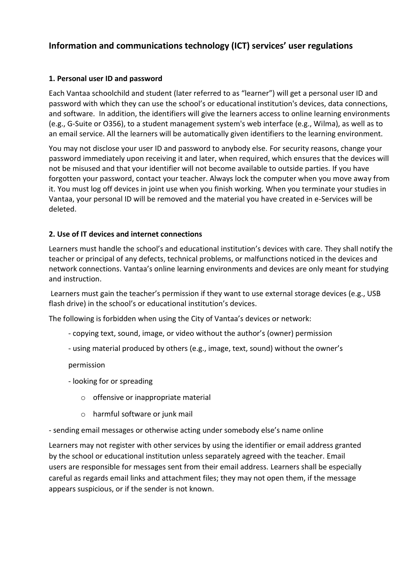# **Information and communications technology (ICT) services' user regulations**

## **1. Personal user ID and password**

Each Vantaa schoolchild and student (later referred to as "learner") will get a personal user ID and password with which they can use the school's or educational institution's devices, data connections, and software. In addition, the identifiers will give the learners access to online learning environments (e.g., G-Suite or O356), to a student management system's web interface (e.g., Wilma), as well as to an email service. All the learners will be automatically given identifiers to the learning environment.

You may not disclose your user ID and password to anybody else. For security reasons, change your password immediately upon receiving it and later, when required, which ensures that the devices will not be misused and that your identifier will not become available to outside parties. If you have forgotten your password, contact your teacher. Always lock the computer when you move away from it. You must log off devices in joint use when you finish working. When you terminate your studies in Vantaa, your personal ID will be removed and the material you have created in e-Services will be deleted.

### **2. Use of IT devices and internet connections**

Learners must handle the school's and educational institution's devices with care. They shall notify the teacher or principal of any defects, technical problems, or malfunctions noticed in the devices and network connections. Vantaa's online learning environments and devices are only meant for studying and instruction.

Learners must gain the teacher's permission if they want to use external storage devices (e.g., USB flash drive) in the school's or educational institution's devices.

The following is forbidden when using the City of Vantaa's devices or network:

- copying text, sound, image, or video without the author's (owner) permission
- using material produced by others (e.g., image, text, sound) without the owner's

permission

- looking for or spreading
	- o offensive or inappropriate material
	- o harmful software or junk mail

- sending email messages or otherwise acting under somebody else's name online

Learners may not register with other services by using the identifier or email address granted by the school or educational institution unless separately agreed with the teacher. Email users are responsible for messages sent from their email address. Learners shall be especially careful as regards email links and attachment files; they may not open them, if the message appears suspicious, or if the sender is not known.